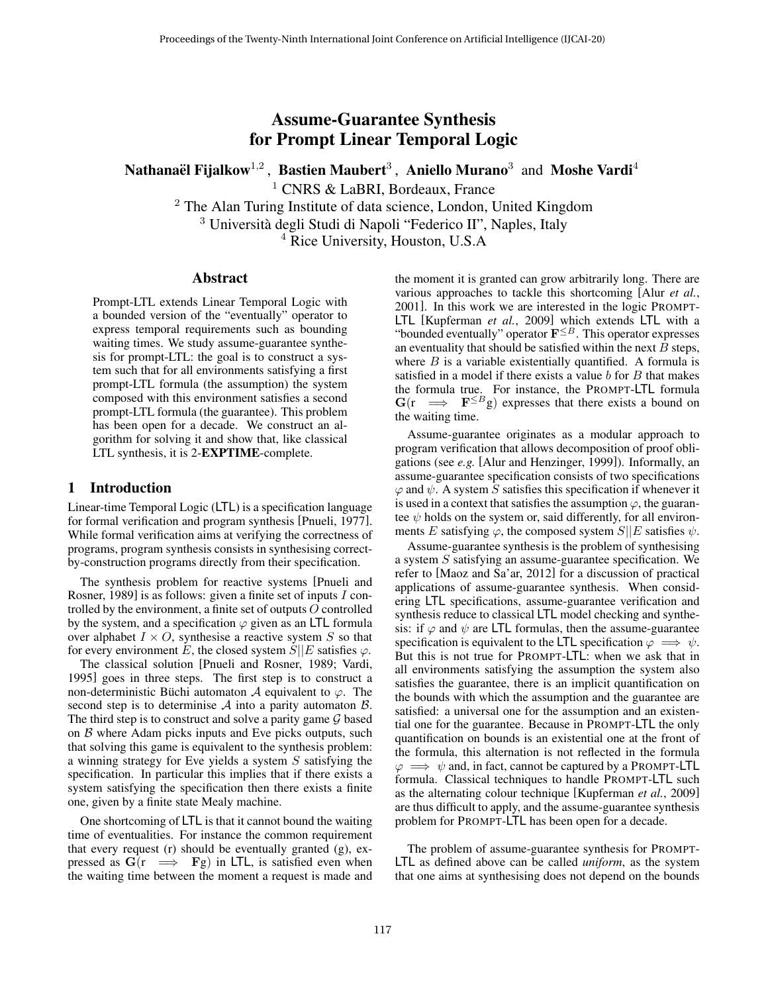# Assume-Guarantee Synthesis for Prompt Linear Temporal Logic

Nathanaël Fijalkow $^{1,2}$  , Bastien Maubert $^3$  , Aniello Murano $^3\,$  and Moshe Vardi $^4\,$ 

<sup>1</sup> CNRS & LaBRI, Bordeaux, France

<sup>2</sup> The Alan Turing Institute of data science, London, United Kingdom

<sup>3</sup> Università degli Studi di Napoli "Federico II", Naples, Italy

<sup>4</sup> Rice University, Houston, U.S.A

## Abstract

Prompt-LTL extends Linear Temporal Logic with a bounded version of the "eventually" operator to express temporal requirements such as bounding waiting times. We study assume-guarantee synthesis for prompt-LTL: the goal is to construct a system such that for all environments satisfying a first prompt-LTL formula (the assumption) the system composed with this environment satisfies a second prompt-LTL formula (the guarantee). This problem has been open for a decade. We construct an algorithm for solving it and show that, like classical LTL synthesis, it is 2-EXPTIME-complete.

#### 1 Introduction

Linear-time Temporal Logic (LTL) is a specification language for formal verification and program synthesis [\[Pnueli, 1977\]](#page-6-0). While formal verification aims at verifying the correctness of programs, program synthesis consists in synthesising correctby-construction programs directly from their specification.

The synthesis problem for reactive systems [\[Pnueli and](#page-6-1) [Rosner, 1989\]](#page-6-1) is as follows: given a finite set of inputs I controlled by the environment, a finite set of outputs O controlled by the system, and a specification  $\varphi$  given as an LTL formula over alphabet  $I \times O$ , synthesise a reactive system S so that for every environment E, the closed system  $S||E$  satisfies  $\varphi$ .

The classical solution [\[Pnueli and Rosner, 1989;](#page-6-1) [Vardi,](#page-6-2) [1995\]](#page-6-2) goes in three steps. The first step is to construct a non-deterministic Büchi automaton  $\mathcal A$  equivalent to  $\varphi$ . The second step is to determinise  $A$  into a parity automaton  $B$ . The third step is to construct and solve a parity game  $G$  based on  $B$  where Adam picks inputs and Eve picks outputs, such that solving this game is equivalent to the synthesis problem: a winning strategy for Eve yields a system S satisfying the specification. In particular this implies that if there exists a system satisfying the specification then there exists a finite one, given by a finite state Mealy machine.

One shortcoming of LTL is that it cannot bound the waiting time of eventualities. For instance the common requirement that every request (r) should be eventually granted (g), expressed as  $G(r \implies Fg)$  in LTL, is satisfied even when the waiting time between the moment a request is made and the moment it is granted can grow arbitrarily long. There are various approaches to tackle this shortcoming [Alur *[et al.](#page-6-3)*, [2001\]](#page-6-3). In this work we are interested in the logic PROMPT-LTL [\[Kupferman](#page-6-4) *et al.*, 2009] which extends LTL with a "bounded eventually" operator  $\mathbf{F}^{\leq B}$ . This operator expresses an eventuality that should be satisfied within the next  $B$  steps, where  $B$  is a variable existentially quantified. A formula is satisfied in a model if there exists a value  $b$  for  $B$  that makes the formula true. For instance, the PROMPT-LTL formula  $G(r \implies F^{\leq B}g)$  expresses that there exists a bound on the waiting time.

Assume-guarantee originates as a modular approach to program verification that allows decomposition of proof obligations (see *e.g.* [\[Alur and Henzinger, 1999\]](#page-6-5)). Informally, an assume-guarantee specification consists of two specifications  $\varphi$  and  $\psi$ . A system S satisfies this specification if whenever it is used in a context that satisfies the assumption  $\varphi$ , the guarantee  $\psi$  holds on the system or, said differently, for all environments E satisfying  $\varphi$ , the composed system  $S||E$  satisfies  $\psi$ .

Assume-guarantee synthesis is the problem of synthesising a system S satisfying an assume-guarantee specification. We refer to [\[Maoz and Sa'ar, 2012\]](#page-6-6) for a discussion of practical applications of assume-guarantee synthesis. When considering LTL specifications, assume-guarantee verification and synthesis reduce to classical LTL model checking and synthesis: if  $\varphi$  and  $\psi$  are LTL formulas, then the assume-guarantee specification is equivalent to the LTL specification  $\varphi \implies \psi$ . But this is not true for PROMPT-LTL: when we ask that in all environments satisfying the assumption the system also satisfies the guarantee, there is an implicit quantification on the bounds with which the assumption and the guarantee are satisfied: a universal one for the assumption and an existential one for the guarantee. Because in PROMPT-LTL the only quantification on bounds is an existential one at the front of the formula, this alternation is not reflected in the formula  $\varphi \implies \psi$  and, in fact, cannot be captured by a PROMPT-LTL formula. Classical techniques to handle PROMPT-LTL such as the alternating colour technique [\[Kupferman](#page-6-4) *et al.*, 2009] are thus difficult to apply, and the assume-guarantee synthesis problem for PROMPT-LTL has been open for a decade.

The problem of assume-guarantee synthesis for PROMPT-LTL as defined above can be called *uniform*, as the system that one aims at synthesising does not depend on the bounds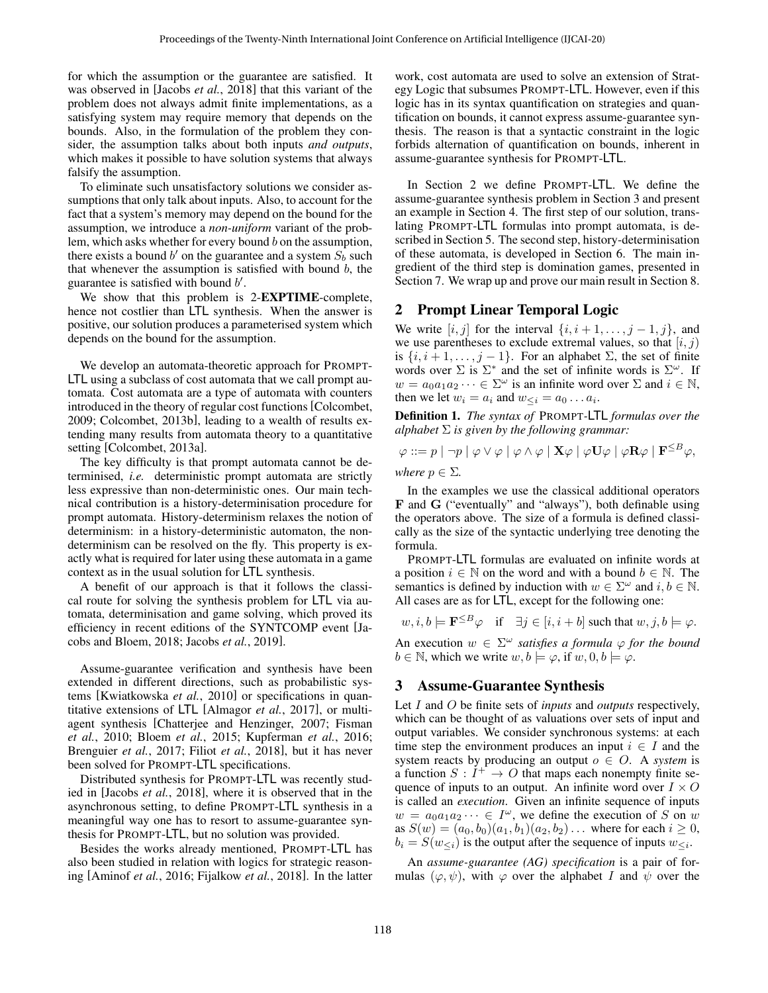for which the assumption or the guarantee are satisfied. It was observed in [\[Jacobs](#page-6-7) *et al.*, 2018] that this variant of the problem does not always admit finite implementations, as a satisfying system may require memory that depends on the bounds. Also, in the formulation of the problem they consider, the assumption talks about both inputs *and outputs*, which makes it possible to have solution systems that always falsify the assumption.

To eliminate such unsatisfactory solutions we consider assumptions that only talk about inputs. Also, to account for the fact that a system's memory may depend on the bound for the assumption, we introduce a *non-uniform* variant of the problem, which asks whether for every bound  $b$  on the assumption, there exists a bound b' on the guarantee and a system  $S_b$  such that whenever the assumption is satisfied with bound  $b$ , the guarantee is satisfied with bound  $b'$ .

We show that this problem is 2-EXPTIME-complete, hence not costlier than LTL synthesis. When the answer is positive, our solution produces a parameterised system which depends on the bound for the assumption.

We develop an automata-theoretic approach for PROMPT-LTL using a subclass of cost automata that we call prompt automata. Cost automata are a type of automata with counters introduced in the theory of regular cost functions [\[Colcombet,](#page-6-8) [2009;](#page-6-8) [Colcombet, 2013b\]](#page-6-9), leading to a wealth of results extending many results from automata theory to a quantitative setting [\[Colcombet, 2013a\]](#page-6-10).

The key difficulty is that prompt automata cannot be determinised, *i.e.* deterministic prompt automata are strictly less expressive than non-deterministic ones. Our main technical contribution is a history-determinisation procedure for prompt automata. History-determinism relaxes the notion of determinism: in a history-deterministic automaton, the nondeterminism can be resolved on the fly. This property is exactly what is required for later using these automata in a game context as in the usual solution for LTL synthesis.

A benefit of our approach is that it follows the classical route for solving the synthesis problem for LTL via automata, determinisation and game solving, which proved its efficiency in recent editions of the SYNTCOMP event [\[Ja](#page-6-11)[cobs and Bloem, 2018;](#page-6-11) Jacobs *et al.*[, 2019\]](#page-6-12).

Assume-guarantee verification and synthesis have been extended in different directions, such as probabilistic systems [\[Kwiatkowska](#page-6-13) *et al.*, 2010] or specifications in quantitative extensions of LTL [\[Almagor](#page-6-14) *et al.*, 2017], or multiagent synthesis [\[Chatterjee and Henzinger, 2007;](#page-6-15) [Fisman](#page-6-16) *et al.*[, 2010;](#page-6-16) Bloem *et al.*[, 2015;](#page-6-17) [Kupferman](#page-6-18) *et al.*, 2016; [Brenguier](#page-6-19) *et al.*, 2017; Filiot *et al.*[, 2018\]](#page-6-20), but it has never been solved for PROMPT-LTL specifications.

Distributed synthesis for PROMPT-LTL was recently studied in [\[Jacobs](#page-6-7) *et al.*, 2018], where it is observed that in the asynchronous setting, to define PROMPT-LTL synthesis in a meaningful way one has to resort to assume-guarantee synthesis for PROMPT-LTL, but no solution was provided.

Besides the works already mentioned, PROMPT-LTL has also been studied in relation with logics for strategic reasoning [\[Aminof](#page-6-21) *et al.*, 2016; [Fijalkow](#page-6-22) *et al.*, 2018]. In the latter work, cost automata are used to solve an extension of Strategy Logic that subsumes PROMPT-LTL. However, even if this logic has in its syntax quantification on strategies and quantification on bounds, it cannot express assume-guarantee synthesis. The reason is that a syntactic constraint in the logic forbids alternation of quantification on bounds, inherent in assume-guarantee synthesis for PROMPT-LTL.

In Section [2](#page-1-0) we define PROMPT-LTL. We define the assume-guarantee synthesis problem in Section [3](#page-1-1) and present an example in Section [4.](#page-2-0) The first step of our solution, translating PROMPT-LTL formulas into prompt automata, is described in Section [5.](#page-3-0) The second step, history-determinisation of these automata, is developed in Section [6.](#page-4-0) The main ingredient of the third step is domination games, presented in Section [7.](#page-4-1) We wrap up and prove our main result in Section [8.](#page-5-0)

#### <span id="page-1-0"></span>2 Prompt Linear Temporal Logic

We write  $[i, j]$  for the interval  $\{i, i+1, \ldots, j-1, j\}$ , and we use parentheses to exclude extremal values, so that  $(i, j)$ is  $\{i, i+1, \ldots, j-1\}$ . For an alphabet  $\Sigma$ , the set of finite words over  $\Sigma$  is  $\Sigma^*$  and the set of infinite words is  $\Sigma^{\omega}$ . If  $w = a_0 a_1 a_2 \cdots \in \Sigma^{\omega}$  is an infinite word over  $\Sigma$  and  $i \in \mathbb{N}$ , then we let  $w_i = a_i$  and  $w_{\leq i} = a_0 \dots a_i$ .

Definition 1. *The syntax of* PROMPT*-*LTL *formulas over the alphabet* Σ *is given by the following grammar:*

$$
\varphi ::= p | \neg p | \varphi \vee \varphi | \varphi \wedge \varphi | \mathbf{X} \varphi | \varphi \mathbf{U} \varphi | \varphi \mathbf{R} \varphi | \mathbf{F}^{\leq B} \varphi,
$$

*where*  $p \in \Sigma$ *.* 

In the examples we use the classical additional operators F and G ("eventually" and "always"), both definable using the operators above. The size of a formula is defined classically as the size of the syntactic underlying tree denoting the formula.

PROMPT-LTL formulas are evaluated on infinite words at a position  $i \in \mathbb{N}$  on the word and with a bound  $b \in \mathbb{N}$ . The semantics is defined by induction with  $w \in \Sigma^{\omega}$  and  $i, b \in \mathbb{N}$ . All cases are as for LTL, except for the following one:

$$
w, i, b \models \mathbf{F}^{\leq B} \varphi \quad \text{if} \quad \exists j \in [i, i+b] \text{ such that } w, j, b \models \varphi.
$$

An execution  $w \in \Sigma^{\omega}$  *satisfies a formula*  $\varphi$  *for the bound*  $b \in \mathbb{N}$ , which we write  $w, b \models \varphi$ , if  $w, 0, b \models \varphi$ .

#### <span id="page-1-1"></span>3 Assume-Guarantee Synthesis

Let I and O be finite sets of *inputs* and *outputs* respectively, which can be thought of as valuations over sets of input and output variables. We consider synchronous systems: at each time step the environment produces an input  $i \in I$  and the system reacts by producing an output  $o \in O$ . A *system* is a function  $S: I^+ \to O$  that maps each nonempty finite sequence of inputs to an output. An infinite word over  $I \times O$ is called an *execution*. Given an infinite sequence of inputs  $w = a_0 a_1 a_2 \cdots \in I^{\omega}$ , we define the execution of S on w as  $S(w) = (a_0, b_0)(a_1, b_1)(a_2, b_2) \dots$  where for each  $i \ge 0$ ,  $b_i = S(w_{\leq i})$  is the output after the sequence of inputs  $w_{\leq i}$ .

An *assume-guarantee (AG) specification* is a pair of formulas  $(\varphi, \psi)$ , with  $\varphi$  over the alphabet I and  $\psi$  over the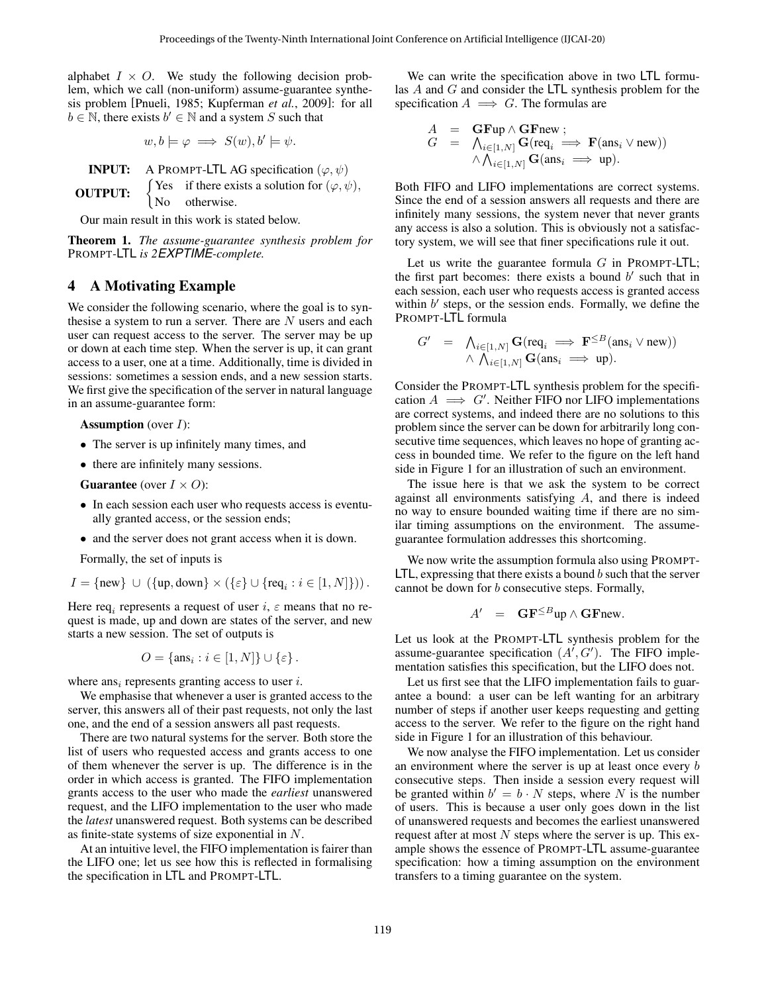alphabet  $I \times O$ . We study the following decision problem, which we call (non-uniform) assume-guarantee synthesis problem [\[Pnueli, 1985;](#page-6-23) [Kupferman](#page-6-4) *et al.*, 2009]: for all  $b \in \mathbb{N}$ , there exists  $b' \in \mathbb{N}$  and a system S such that

$$
w, b \models \varphi \implies S(w), b' \models \psi.
$$

**INPUT:** A PROMPT-LTL AG specification  $(\varphi, \psi)$ OUTPUT:  $\begin{cases} 1 \text{Cs} \\ \text{No} \end{cases}$ Yes if there exists a solution for  $(\varphi, \psi)$ , otherwise.

Our main result in this work is stated below.

<span id="page-2-1"></span>Theorem 1. *The assume-guarantee synthesis problem for* PROMPT*-*LTL *is 2EXPTIME-complete.*

#### <span id="page-2-0"></span>4 A Motivating Example

We consider the following scenario, where the goal is to synthesise a system to run a server. There are  $N$  users and each user can request access to the server. The server may be up or down at each time step. When the server is up, it can grant access to a user, one at a time. Additionally, time is divided in sessions: sometimes a session ends, and a new session starts. We first give the specification of the server in natural language in an assume-guarantee form:

**Assumption** (over  $I$ ):

- The server is up infinitely many times, and
- there are infinitely many sessions.

**Guarantee** (over  $I \times O$ ):

- In each session each user who requests access is eventually granted access, or the session ends;
- and the server does not grant access when it is down.

Formally, the set of inputs is

$$
I = \{\text{new}\} \cup (\{\text{up}, \text{down}\} \times (\{\varepsilon\} \cup \{\text{req}_i : i \in [1, N]\})).
$$

Here req<sub>i</sub> represents a request of user  $i, \varepsilon$  means that no request is made, up and down are states of the server, and new starts a new session. The set of outputs is

$$
O = \{ \text{ans}_i : i \in [1, N] \} \cup \{\varepsilon \}.
$$

where ans<sub>i</sub> represents granting access to user *i*.

We emphasise that whenever a user is granted access to the server, this answers all of their past requests, not only the last one, and the end of a session answers all past requests.

There are two natural systems for the server. Both store the list of users who requested access and grants access to one of them whenever the server is up. The difference is in the order in which access is granted. The FIFO implementation grants access to the user who made the *earliest* unanswered request, and the LIFO implementation to the user who made the *latest* unanswered request. Both systems can be described as finite-state systems of size exponential in N.

At an intuitive level, the FIFO implementation is fairer than the LIFO one; let us see how this is reflected in formalising the specification in LTL and PROMPT-LTL.

We can write the specification above in two LTL formulas A and G and consider the LTL synthesis problem for the specification  $A \implies G$ . The formulas are

$$
A = \mathbf{G}\mathbf{Fup} \wedge \mathbf{G}\mathbf{Fnew};
$$
  
\n
$$
G = \bigwedge_{i \in [1,N]} \mathbf{G}(\text{req}_i \implies \mathbf{F}(\text{ans}_i \vee \text{new}))
$$
  
\n
$$
\wedge \bigwedge_{i \in [1,N]} \mathbf{G}(\text{ans}_i \implies \text{up}).
$$

Both FIFO and LIFO implementations are correct systems. Since the end of a session answers all requests and there are infinitely many sessions, the system never that never grants any access is also a solution. This is obviously not a satisfactory system, we will see that finer specifications rule it out.

Let us write the guarantee formula  $G$  in PROMPT-LTL; the first part becomes: there exists a bound  $b'$  such that in each session, each user who requests access is granted access within  $b'$  steps, or the session ends. Formally, we define the PROMPT-LTL formula

$$
G' = \bigwedge_{i \in [1,N]} \mathbf{G}(\text{req}_i \implies \mathbf{F}^{\leq B}(\text{ans}_i \vee \text{new}))
$$
  
 
$$
\wedge \bigwedge_{i \in [1,N]} \mathbf{G}(\text{ans}_i \implies \text{up}).
$$

Consider the PROMPT-LTL synthesis problem for the specification  $A \implies G'$ . Neither FIFO nor LIFO implementations are correct systems, and indeed there are no solutions to this problem since the server can be down for arbitrarily long consecutive time sequences, which leaves no hope of granting access in bounded time. We refer to the figure on the left hand side in Figure [1](#page-3-1) for an illustration of such an environment.

The issue here is that we ask the system to be correct against all environments satisfying  $A$ , and there is indeed no way to ensure bounded waiting time if there are no similar timing assumptions on the environment. The assumeguarantee formulation addresses this shortcoming.

We now write the assumption formula also using PROMPT- $LTL$ , expressing that there exists a bound b such that the server cannot be down for b consecutive steps. Formally,

$$
A' = \mathbf{G} \mathbf{F}^{\leq B} \mathbf{u} \mathbf{p} \wedge \mathbf{G} \mathbf{F} \mathbf{n} \mathbf{e} \mathbf{w}.
$$

Let us look at the PROMPT-LTL synthesis problem for the assume-guarantee specification  $(A', G')$ . The FIFO implementation satisfies this specification, but the LIFO does not.

Let us first see that the LIFO implementation fails to guarantee a bound: a user can be left wanting for an arbitrary number of steps if another user keeps requesting and getting access to the server. We refer to the figure on the right hand side in Figure [1](#page-3-1) for an illustration of this behaviour.

We now analyse the FIFO implementation. Let us consider an environment where the server is up at least once every b consecutive steps. Then inside a session every request will be granted within  $b' = b \cdot N$  steps, where N is the number of users. This is because a user only goes down in the list of unanswered requests and becomes the earliest unanswered request after at most  $N$  steps where the server is up. This example shows the essence of PROMPT-LTL assume-guarantee specification: how a timing assumption on the environment transfers to a timing guarantee on the system.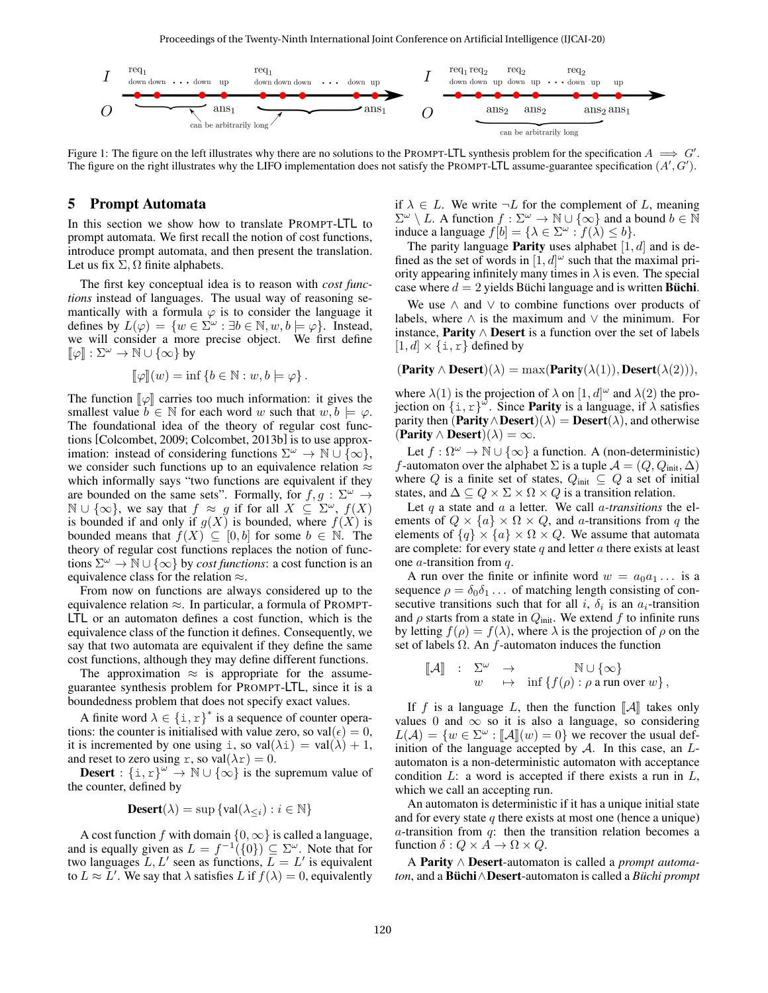Proceedings of the Twenty-Ninth International Joint Conference on Artificial Intelligence (IJCAI-20)

<span id="page-3-1"></span>

Figure 1: The figure on the left illustrates why there are no solutions to the PROMPT-LTL synthesis problem for the specification  $A \implies G'$ . The figure on the right illustrates why the LIFO implementation does not satisfy the PROMPT-LTL assume-guarantee specification  $(A', G')$ .

#### <span id="page-3-0"></span>5 Prompt Automata

In this section we show how to translate PROMPT-LTL to prompt automata. We first recall the notion of cost functions, introduce prompt automata, and then present the translation. Let us fix  $\Sigma$ ,  $\Omega$  finite alphabets.

The first key conceptual idea is to reason with *cost functions* instead of languages. The usual way of reasoning semantically with a formula  $\varphi$  is to consider the language it defines by  $L(\varphi) = \{w \in \Sigma^{\omega} : \exists b \in \mathbb{N}, w, b \models \varphi\}$ . Instead, we will consider a more precise object. We first define  $\llbracket \varphi \rrbracket : \Sigma^\omega \to \mathbb{N} \cup \{\infty\}$  by

$$
[\![\varphi]\!](w) = \inf \{b \in \mathbb{N} : w, b \models \varphi\}.
$$

The function  $\llbracket \varphi \rrbracket$  carries too much information: it gives the smallest value  $b \in \mathbb{N}$  for each word w such that  $w, b \models \varphi$ . The foundational idea of the theory of regular cost functions [\[Colcombet, 2009;](#page-6-8) [Colcombet, 2013b\]](#page-6-9) is to use approximation: instead of considering functions  $\Sigma^{\omega} \to \mathbb{N} \cup \{\infty\},$ we consider such functions up to an equivalence relation  $\approx$ which informally says "two functions are equivalent if they are bounded on the same sets". Formally, for  $f, g : \Sigma^{\omega} \rightarrow$  $\mathbb{N} \cup \{\infty\}$ , we say that  $f \approx g$  if for all  $X \subseteq \Sigma^{\omega}$ ,  $f(X)$ is bounded if and only if  $g(X)$  is bounded, where  $f(X)$  is bounded means that  $f(X) \subseteq [0, b]$  for some  $b \in \mathbb{N}$ . The theory of regular cost functions replaces the notion of functions  $\Sigma^{\omega} \to \mathbb{N} \cup \{\infty\}$  by *cost functions*: a cost function is an equivalence class for the relation ≈.

From now on functions are always considered up to the equivalence relation  $\approx$ . In particular, a formula of PROMPT-LTL or an automaton defines a cost function, which is the equivalence class of the function it defines. Consequently, we say that two automata are equivalent if they define the same cost functions, although they may define different functions.

The approximation  $\approx$  is appropriate for the assumeguarantee synthesis problem for PROMPT-LTL, since it is a boundedness problem that does not specify exact values.

A finite word  $\lambda \in {\{\text{i}, \text{r}\}}^*$  is a sequence of counter operations: the counter is initialised with value zero, so val $(\epsilon) = 0$ , it is incremented by one using i, so  $val(\lambda i) = val(\lambda) + 1$ , and reset to zero using r, so val $(\lambda r) = 0$ .

**Desert** :  $\{i, r\}^{\omega} \to \mathbb{N} \cup \{\infty\}$  is the supremum value of the counter, defined by

**Desert**
$$
(\lambda)
$$
 = sup {val( $\lambda_{\leq i}$ ) :  $i \in \mathbb{N}$ }

A cost function f with domain  $\{0, \infty\}$  is called a language, and is equally given as  $L = f^{-1}(\{0\}) \subseteq \Sigma^{\omega}$ . Note that for two languages  $L, L'$  seen as functions,  $L = L'$  is equivalent to  $L \approx L'$ . We say that  $\lambda$  satisfies L if  $f(\lambda) = 0$ , equivalently if  $\lambda \in L$ . We write  $\neg L$  for the complement of L, meaning  $\Sigma^{\omega} \setminus L$ . A function  $f : \Sigma^{\omega} \to \mathbb{N} \cup {\infty}$  and a bound  $b \in \widetilde{\mathbb{N}}$ induce a language  $f[b] = {\lambda \in \Sigma^{\omega} : f(\lambda) \le b}.$ 

The parity language **Parity** uses alphabet  $[1, d]$  and is defined as the set of words in  $[1, d]^\omega$  such that the maximal priority appearing infinitely many times in  $\lambda$  is even. The special case where  $d = 2$  yields Büchi language and is written **Büchi**.

We use  $\land$  and  $\lor$  to combine functions over products of labels, where  $∧$  is the maximum and  $∨$  the minimum. For instance, **Parity**  $∧$  **Desert** is a function over the set of labels  $[1, d] \times \{\text{i}, \text{r}\}\$  defined by

$$
(\textbf{Parity} \land \textbf{Desert})(\lambda) = \max(\textbf{Parity}(\lambda(1)), \textbf{Desert}(\lambda(2))),
$$

where  $\lambda(1)$  is the projection of  $\lambda$  on  $[1, d]^\omega$  and  $\lambda(2)$  the projection on  $\{1, r\}^{\omega}$ . Since **Parity** is a language, if  $\lambda$  satisfies parity then  $(\text{Parity} \land \text{Desert})(\lambda) = \text{Desert}(\lambda)$ , and otherwise  $(Parity \wedge Desert)(\lambda) = \infty.$ 

Let  $f : \Omega^{\omega} \to \mathbb{N} \cup \{\infty\}$  a function. A (non-deterministic) f-automaton over the alphabet  $\Sigma$  is a tuple  $\mathcal{A} = (Q, Q_{init}, \Delta)$ where  $Q$  is a finite set of states,  $Q_{\text{init}} \subseteq Q$  a set of initial states, and  $\Delta \subseteq Q \times \Sigma \times \Omega \times Q$  is a transition relation.

Let q a state and a a letter. We call a*-transitions* the elements of  $Q \times \{a\} \times \Omega \times Q$ , and *a*-transitions from *q* the elements of  $\{q\} \times \{a\} \times \Omega \times Q$ . We assume that automata are complete: for every state  $q$  and letter  $\alpha$  there exists at least one  $a$ -transition from  $q$ .

A run over the finite or infinite word  $w = a_0 a_1 \dots$  is a sequence  $\rho = \delta_0 \delta_1 \dots$  of matching length consisting of consecutive transitions such that for all i,  $\delta_i$  is an  $a_i$ -transition and  $\rho$  starts from a state in  $Q_{\text{init}}$ . We extend f to infinite runs by letting  $f(\rho) = f(\lambda)$ , where  $\lambda$  is the projection of  $\rho$  on the set of labels  $\Omega$ . An f-automaton induces the function

$$
\begin{array}{rcl}\n[\![\mathcal{A}]\!] & : & \Sigma^\omega & \to & \mathbb{N} \cup \{\infty\} \\
w & \mapsto & \inf \left\{f(\rho) : \rho \text{ a run over } w\right\},\n\end{array}
$$

If f is a language L, then the function  $\llbracket A \rrbracket$  takes only values 0 and  $\infty$  so it is also a language, so considering  $L(\mathcal{A}) = \{w \in \Sigma^{\omega} : [\![\mathcal{A}]\!](w) = 0\}$  we recover the usual definition of the language accepted by A. In this case, an  $L_2$ inition of the language accepted by  $A$ . In this case, an  $L$ automaton is a non-deterministic automaton with acceptance condition  $L$ : a word is accepted if there exists a run in  $L$ , which we call an accepting run.

An automaton is deterministic if it has a unique initial state and for every state  $q$  there exists at most one (hence a unique)  $a$ -transition from  $q$ : then the transition relation becomes a function  $\delta: Q \times A \to \Omega \times Q$ .

A Parity ∧ Desert-automaton is called a *prompt automaton*, and a **Büchi** $\land$ **Desert**-automaton is called a *Büchi prompt*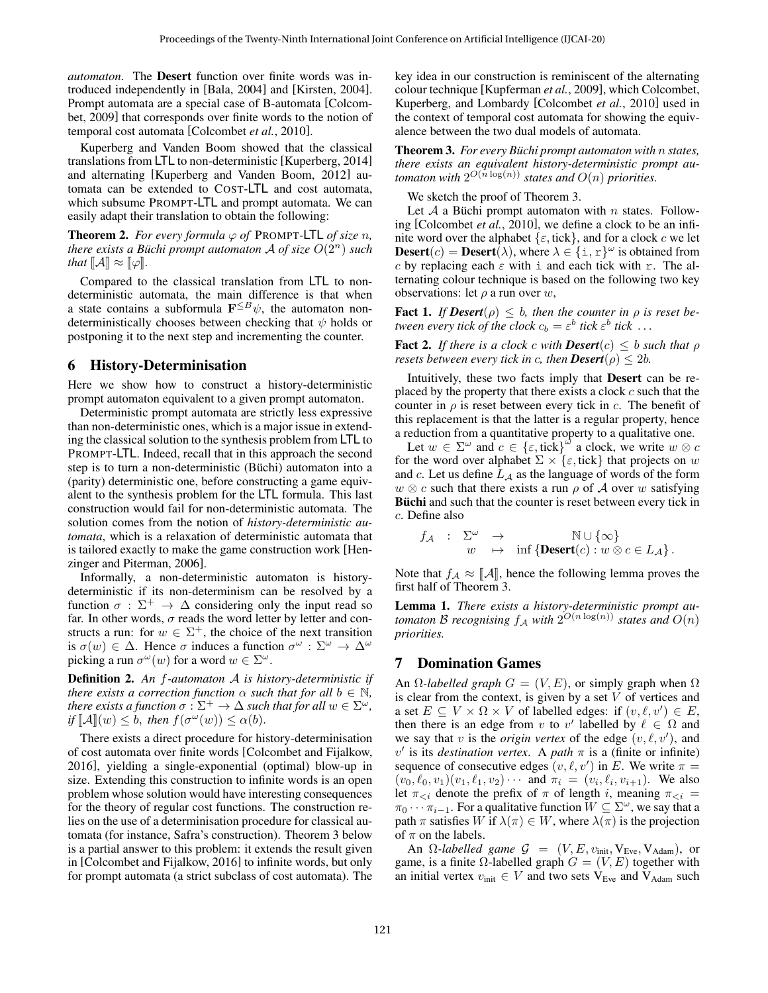*automaton*. The Desert function over finite words was introduced independently in [\[Bala, 2004\]](#page-6-24) and [\[Kirsten, 2004\]](#page-6-25). Prompt automata are a special case of B-automata [\[Colcom](#page-6-8)[bet, 2009\]](#page-6-8) that corresponds over finite words to the notion of temporal cost automata [\[Colcombet](#page-6-26) *et al.*, 2010].

Kuperberg and Vanden Boom showed that the classical translations from LTL to non-deterministic [\[Kuperberg, 2014\]](#page-6-27) and alternating [\[Kuperberg and Vanden Boom, 2012\]](#page-6-28) automata can be extended to COST-LTL and cost automata, which subsume PROMPT-LTL and prompt automata. We can easily adapt their translation to obtain the following:

<span id="page-4-3"></span>**Theorem 2.** For every formula  $\varphi$  of PROMPT-LTL of size n, *there exists a Büchi prompt automaton A of size*  $O(2^n)$  *such that*  $\|\mathcal{A}\| \approx \|\varphi\|$ *.* 

Compared to the classical translation from LTL to nondeterministic automata, the main difference is that when a state contains a subformula  $\mathbf{F}^{\leq B}\psi$ , the automaton nondeterministically chooses between checking that  $\psi$  holds or postponing it to the next step and incrementing the counter.

#### <span id="page-4-0"></span>6 History-Determinisation

Here we show how to construct a history-deterministic prompt automaton equivalent to a given prompt automaton.

Deterministic prompt automata are strictly less expressive than non-deterministic ones, which is a major issue in extending the classical solution to the synthesis problem from LTL to PROMPT-LTL. Indeed, recall that in this approach the second step is to turn a non-deterministic (Büchi) automaton into a (parity) deterministic one, before constructing a game equivalent to the synthesis problem for the LTL formula. This last construction would fail for non-deterministic automata. The solution comes from the notion of *history-deterministic automata*, which is a relaxation of deterministic automata that is tailored exactly to make the game construction work [\[Hen](#page-6-29)[zinger and Piterman, 2006\]](#page-6-29).

Informally, a non-deterministic automaton is historydeterministic if its non-determinism can be resolved by a function  $\sigma : \Sigma^+ \to \Delta$  considering only the input read so far. In other words,  $\sigma$  reads the word letter by letter and constructs a run: for  $w \in \Sigma^{+}$ , the choice of the next transition is  $\sigma(w) \in \Delta$ . Hence  $\sigma$  induces a function  $\sigma^{\omega} : \Sigma^{\omega} \to \Delta^{\omega}$ picking a run  $\sigma^{\omega}(w)$  for a word  $w \in \Sigma^{\omega}$ .

Definition 2. *An* f*-automaton* A *is history-deterministic if there exists a correction function*  $\alpha$  *such that for all*  $b \in \mathbb{N}$ *, there exists a function*  $\sigma : \Sigma^+ \to \Delta$  *such that for all*  $w \in \Sigma^\omega$ , *if*  $[\![A]\!](w) \leq b$ , *then*  $f(\sigma^{\omega}(w)) \leq \alpha(b)$ .

There exists a direct procedure for history-determinisation of cost automata over finite words [\[Colcombet and Fijalkow,](#page-6-30) [2016\]](#page-6-30), yielding a single-exponential (optimal) blow-up in size. Extending this construction to infinite words is an open problem whose solution would have interesting consequences for the theory of regular cost functions. The construction relies on the use of a determinisation procedure for classical automata (for instance, Safra's construction). Theorem [3](#page-4-2) below is a partial answer to this problem: it extends the result given in [\[Colcombet and Fijalkow, 2016\]](#page-6-30) to infinite words, but only for prompt automata (a strict subclass of cost automata). The key idea in our construction is reminiscent of the alternating colour technique [\[Kupferman](#page-6-4) *et al.*, 2009], which Colcombet, Kuperberg, and Lombardy [\[Colcombet](#page-6-26) *et al.*, 2010] used in the context of temporal cost automata for showing the equivalence between the two dual models of automata.

<span id="page-4-2"></span>Theorem 3. For every Büchi prompt automaton with  $n$  states, *there exists an equivalent history-deterministic prompt automaton with*  $2^{O(n \log(n))}$  *states and*  $O(n)$  *priorities.* 

We sketch the proof of Theorem [3.](#page-4-2)

Let A a Büchi prompt automaton with n states. Following [\[Colcombet](#page-6-26) *et al.*, 2010], we define a clock to be an infinite word over the alphabet  $\{\varepsilon, \text{tick}\}$ , and for a clock c we let **Desert**(*c*) = **Desert**( $\lambda$ ), where  $\lambda \in \{ \text{i}, \text{r} \}^{\omega}$  is obtained from c by replacing each  $\varepsilon$  with i and each tick with r. The alternating colour technique is based on the following two key observations: let  $\rho$  a run over w,

**Fact 1.** *If*  $Desert(\rho) \leq b$ , then the counter in  $\rho$  is reset be*tween every tick of the clock*  $c_b = \varepsilon^b$  *tick*  $\varepsilon^b$  *tick*  $\ldots$ 

Fact 2. *If there is a clock c with Desert*(c)  $\leq b$  *such that*  $\rho$ *resets between every tick in c, then*  $Desert(\rho) \leq 2b$ *.* 

Intuitively, these two facts imply that Desert can be replaced by the property that there exists a clock  $c$  such that the counter in  $\rho$  is reset between every tick in c. The benefit of this replacement is that the latter is a regular property, hence a reduction from a quantitative property to a qualitative one.

Let  $w \in \Sigma^{\omega}$  and  $c \in {\varepsilon, \text{tick}}^{\omega}$  a clock, we write  $w \otimes c$ for the word over alphabet  $\Sigma \times {\epsilon, \text{tick}}$  that projects on w and  $c$ . Let us define  $L_A$  as the language of words of the form  $w \otimes c$  such that there exists a run  $\rho$  of A over w satisfying Büchi and such that the counter is reset between every tick in c. Define also

$$
f_{\mathcal{A}} : \Sigma^{\omega} \to \text{inf} \{ \text{Desert}(c) : w \otimes c \in L_{\mathcal{A}} \}.
$$

Note that  $f_A \approx [\![A]\!]$ , hence the following lemma proves the first half of Theorem [3.](#page-4-2)

Lemma 1. *There exists a history-deterministic prompt au*tomaton B recognising  $f_A$  with  $2^{O(n\log(n))}$  states and  $O(n)$ *priorities.*

## <span id="page-4-1"></span>7 Domination Games

An  $\Omega$ -labelled graph  $G = (V, E)$ , or simply graph when  $\Omega$ is clear from the context, is given by a set  $V$  of vertices and a set  $E \subseteq V \times \Omega \times V$  of labelled edges: if  $(v, \ell, v') \in E$ , then there is an edge from v to v' labelled by  $\ell \in \Omega$  and we say that v is the *origin vertex* of the edge  $(v, \ell, v')$ , and  $v'$  is its *destination vertex*. A *path*  $\pi$  is a (finite or infinite) sequence of consecutive edges  $(v, \ell, v')$  in E. We write  $\pi =$  $(v_0, \ell_0, v_1)(v_1, \ell_1, v_2) \cdots$  and  $\pi_i = (v_i, \ell_i, v_{i+1})$ . We also let  $\pi_{\leq i}$  denote the prefix of  $\pi$  of length i, meaning  $\pi_{\leq i}$  =  $\pi_0 \cdots \pi_{i-1}$ . For a qualitative function  $W \subseteq \Sigma^\omega$ , we say that a path  $\pi$  satisfies W if  $\lambda(\pi) \in W$ , where  $\lambda(\pi)$  is the projection of  $\pi$  on the labels.

An  $\Omega$ -*labelled game*  $\mathcal{G} = (V, E, v_{\text{init}}, V_{\text{Eve}}, V_{\text{Adam}})$ , or game, is a finite  $\Omega$ -labelled graph  $G = (V, E)$  together with an initial vertex  $v_{\text{init}} \in V$  and two sets V<sub>Eve</sub> and V<sub>Adam</sub> such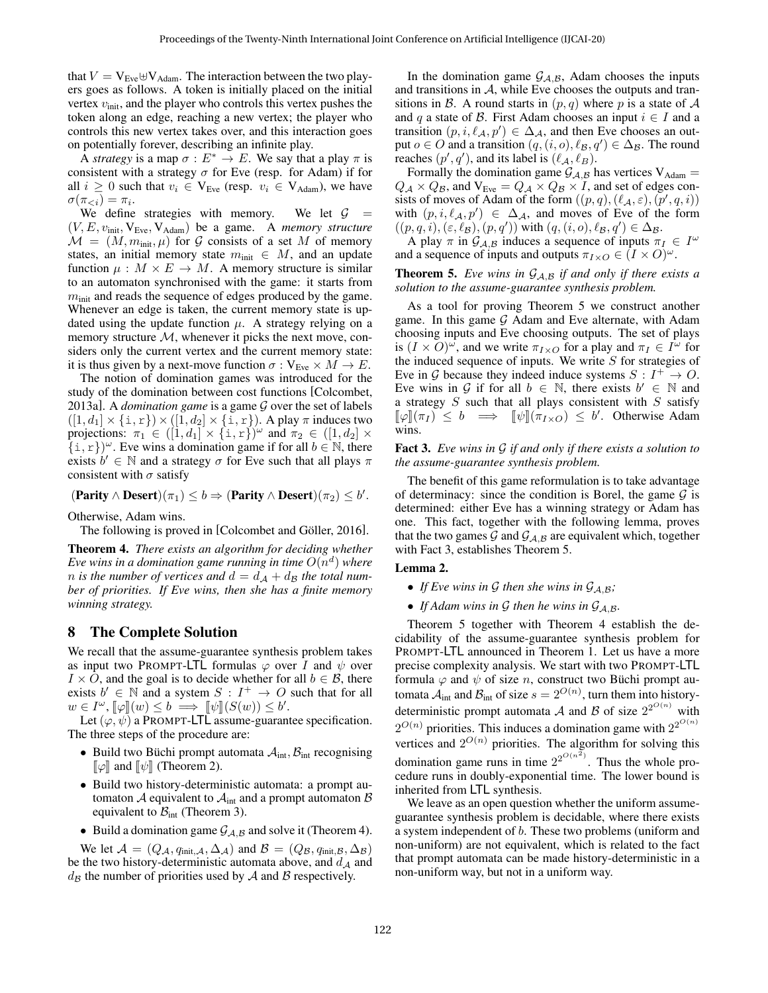that  $V = V_{Eve} \oplus V_{Adam}$ . The interaction between the two players goes as follows. A token is initially placed on the initial vertex  $v_{\text{init}}$ , and the player who controls this vertex pushes the token along an edge, reaching a new vertex; the player who controls this new vertex takes over, and this interaction goes on potentially forever, describing an infinite play.

A *strategy* is a map  $\sigma : E^* \to E$ . We say that a play  $\pi$  is consistent with a strategy  $\sigma$  for Eve (resp. for Adam) if for all  $i \geq 0$  such that  $v_i \in V_{Eve}$  (resp.  $v_i \in V_{Adam}$ ), we have  $\sigma(\pi_{< i}) = \pi_i.$ 

We define strategies with memory. We let  $G =$  $(V, E, v_{\text{init}}, V_{\text{Eve}}, V_{\text{Adam}})$  be a game. A *memory structure*  $\mathcal{M} = (M, m_{\text{init}}, \mu)$  for G consists of a set M of memory states, an initial memory state  $m_{\text{init}} \in M$ , and an update function  $\mu : M \times E \to M$ . A memory structure is similar to an automaton synchronised with the game: it starts from  $m<sub>init</sub>$  and reads the sequence of edges produced by the game. Whenever an edge is taken, the current memory state is updated using the update function  $\mu$ . A strategy relying on a memory structure  $M$ , whenever it picks the next move, considers only the current vertex and the current memory state: it is thus given by a next-move function  $\sigma : V_{Eve} \times M \to E$ .

The notion of domination games was introduced for the study of the domination between cost functions [\[Colcombet,](#page-6-10) [2013a\]](#page-6-10). A *domination game* is a game G over the set of labels  $([1, d_1] \times \{i, r\}) \times ([1, d_2] \times \{i, r\})$ . A play  $\pi$  induces two projections:  $\pi_1 \in ([1, d_1] \times \{ \text{ i } , \text{ r} \})^{\omega}$  and  $\pi_2 \in ([1, d_2] \times$  $\{i, r\}^{\omega}$ . Eve wins a domination game if for all  $b \in \mathbb{N}$ , there exists  $b' \in \mathbb{N}$  and a strategy  $\sigma$  for Eve such that all plays  $\pi$ consistent with  $\sigma$  satisfy

 $($ **Parity**  $\wedge$  **Desert** $)(\pi_1) \leq b \Rightarrow$   $($ **Parity**  $\wedge$  **Desert** $)(\pi_2) \leq b'$ .

Otherwise, Adam wins.

The following is proved in [Colcombet and Göller, 2016].

<span id="page-5-1"></span>Theorem 4. *There exists an algorithm for deciding whether* Eve wins in a domination game running in time  $O(n^d)$  where *n* is the number of vertices and  $d = d_A + d_B$  the total num*ber of priorities. If Eve wins, then she has a finite memory winning strategy.*

## <span id="page-5-0"></span>8 The Complete Solution

We recall that the assume-guarantee synthesis problem takes as input two PROMPT-LTL formulas  $\varphi$  over I and  $\psi$  over  $I \times O$ , and the goal is to decide whether for all  $b \in \mathcal{B}$ , there exists  $b' \in \mathbb{N}$  and a system  $S: I^+ \to O$  such that for all  $w \in I^{\omega}$ ,  $[\![\varphi]\!](w) \leq b \implies [\![\psi]\!](S(w)) \leq b'$ .<br>Let  $(\varphi, \psi)$  a PROMPT-LTL assume-guarant

Let  $(\varphi, \psi)$  a PROMPT-LTL assume-guarantee specification. The three steps of the procedure are:

- Build two Büchi prompt automata  $A_{int}$ ,  $B_{int}$  recognising  $\llbracket \varphi \rrbracket$  and  $\llbracket \psi \rrbracket$  (Theorem [2\)](#page-4-3).
- Build two history-deterministic automata: a prompt automaton  $A$  equivalent to  $A<sub>int</sub>$  and a prompt automaton  $B$ equivalent to  $B<sub>int</sub>$  (Theorem [3\)](#page-4-2).
- Build a domination game  $\mathcal{G}_{A,B}$  and solve it (Theorem [4\)](#page-5-1).

We let  $\mathcal{A} = (Q_{\mathcal{A}}, q_{\text{init}, \mathcal{A}}, \Delta_{\mathcal{A}})$  and  $\mathcal{B} = (Q_{\mathcal{B}}, q_{\text{init}, \mathcal{B}}, \Delta_{\mathcal{B}})$ be the two history-deterministic automata above, and  $d_A$  and  $d_{\mathcal{B}}$  the number of priorities used by A and B respectively.

In the domination game  $G_{A,B}$ , Adam chooses the inputs and transitions in  $A$ , while Eve chooses the outputs and transitions in B. A round starts in  $(p, q)$  where p is a state of A and q a state of B. First Adam chooses an input  $i \in I$  and a transition  $(p, i, \ell_A, p') \in \Delta_{\mathcal{A}}$ , and then Eve chooses an output  $o \in O$  and a transition  $(q, (i, o), \ell_B, q') \in \Delta_B$ . The round reaches  $(p', q')$ , and its label is  $(\ell_A, \ell_B)$ .

Formally the domination game  $\mathcal{G}_{A,B}$  has vertices  $V_{Adam} =$  $Q_{\mathcal{A}} \times Q_{\mathcal{B}}$ , and  $V_{Eve} = Q_{\mathcal{A}} \times Q_{\mathcal{B}} \times I$ , and set of edges consists of moves of Adam of the form  $((p,q),(\ell_{\mathcal{A}},\varepsilon),(p',q, i))$ with  $(p, i, \ell_A, p') \in \Delta_{\mathcal{A}}$ , and moves of Eve of the form  $((p, q, i), (\varepsilon, \ell_{\mathcal{B}}), (p, q'))$  with  $(q, (i, o), \ell_{\mathcal{B}}, q') \in \Delta_{\mathcal{B}}$ .

A play  $\pi$  in  $\mathcal{G}_{\mathcal{A},\mathcal{B}}$  induces a sequence of inputs  $\pi_I \in I^\omega$ and a sequence of inputs and outputs  $\pi_{I\times O} \in (I \times O)^\omega$ .

#### <span id="page-5-2"></span>**Theorem 5.** *Eve wins in*  $G_{A,B}$  *if and only if there exists a solution to the assume-guarantee synthesis problem.*

As a tool for proving Theorem [5](#page-5-2) we construct another game. In this game  $G$  Adam and Eve alternate, with Adam choosing inputs and Eve choosing outputs. The set of plays is  $(I \times O)^\omega$ , and we write  $\pi_{I \times O}$  for a play and  $\pi_I \in I^\omega$  for the induced sequence of inputs. We write  $S$  for strategies of Eve in G because they indeed induce systems  $S: I^+ \to O$ . Eve wins in G if for all  $b \in \mathbb{N}$ , there exists  $b' \in \mathbb{N}$  and a strategy  $S$  such that all plays consistent with  $S$  satisfy  $[\![\varphi]\!] (\pi_I) \leq b \implies [\![\psi]\!] (\pi_{I \times O}) \leq b'$ . Otherwise Adam wins.

#### <span id="page-5-3"></span>Fact 3. *Eve wins in* G *if and only if there exists a solution to the assume-guarantee synthesis problem.*

The benefit of this game reformulation is to take advantage of determinacy: since the condition is Borel, the game  $G$  is determined: either Eve has a winning strategy or Adam has one. This fact, together with the following lemma, proves that the two games  $G$  and  $G_{A,B}$  are equivalent which, together with Fact [3,](#page-5-3) establishes Theorem [5.](#page-5-2)

#### Lemma 2.

- If Eve wins in G then she wins in  $\mathcal{G}_{A,B}$ ;
- If Adam wins in G then he wins in  $\mathcal{G}_{A,B}$ .

Theorem [5](#page-5-2) together with Theorem [4](#page-5-1) establish the decidability of the assume-guarantee synthesis problem for PROMPT-LTL announced in Theorem [1.](#page-2-1) Let us have a more precise complexity analysis. We start with two PROMPT-LTL formula  $\varphi$  and  $\psi$  of size n, construct two Büchi prompt automata  $A_{\text{int}}$  and  $B_{\text{int}}$  of size  $s = 2^{O(n)}$ , turn them into historydeterministic prompt automata A and B of size  $2^{2^{O(n)}}$  with  $2^{O(n)}$  priorities. This induces a domination game with  $2^{2^{O(n)}}$ vertices and  $2^{O(n)}$  priorities. The algorithm for solving this domination game runs in time  $2^{2^{O(n^2)}}$ . Thus the whole procedure runs in doubly-exponential time. The lower bound is inherited from LTL synthesis.

We leave as an open question whether the uniform assumeguarantee synthesis problem is decidable, where there exists a system independent of b. These two problems (uniform and non-uniform) are not equivalent, which is related to the fact that prompt automata can be made history-deterministic in a non-uniform way, but not in a uniform way.